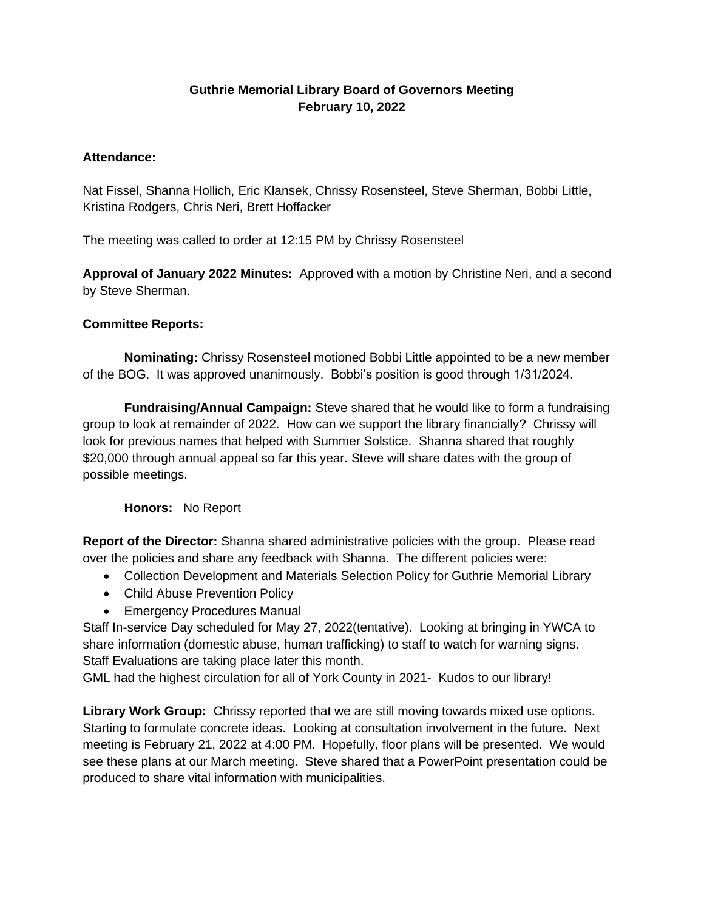## **Guthrie Memorial Library Board of Governors Meeting February 10, 2022**

## **Attendance:**

Nat Fissel, Shanna Hollich, Eric Klansek, Chrissy Rosensteel, Steve Sherman, Bobbi Little, Kristina Rodgers, Chris Neri, Brett Hoffacker

The meeting was called to order at 12:15 PM by Chrissy Rosensteel

**Approval of January 2022 Minutes:** Approved with a motion by Christine Neri, and a second by Steve Sherman.

## **Committee Reports:**

**Nominating:** Chrissy Rosensteel motioned Bobbi Little appointed to be a new member of the BOG. It was approved unanimously. Bobbi's position is good through 1/31/2024.

**Fundraising/Annual Campaign:** Steve shared that he would like to form a fundraising group to look at remainder of 2022. How can we support the library financially? Chrissy will look for previous names that helped with Summer Solstice. Shanna shared that roughly \$20,000 through annual appeal so far this year. Steve will share dates with the group of possible meetings.

## **Honors:** No Report

**Report of the Director:** Shanna shared administrative policies with the group. Please read over the policies and share any feedback with Shanna. The different policies were:

- Collection Development and Materials Selection Policy for Guthrie Memorial Library
- Child Abuse Prevention Policy
- Emergency Procedures Manual

Staff In-service Day scheduled for May 27, 2022(tentative). Looking at bringing in YWCA to share information (domestic abuse, human trafficking) to staff to watch for warning signs. Staff Evaluations are taking place later this month.

GML had the highest circulation for all of York County in 2021- Kudos to our library!

**Library Work Group:** Chrissy reported that we are still moving towards mixed use options. Starting to formulate concrete ideas. Looking at consultation involvement in the future. Next meeting is February 21, 2022 at 4:00 PM. Hopefully, floor plans will be presented. We would see these plans at our March meeting. Steve shared that a PowerPoint presentation could be produced to share vital information with municipalities.